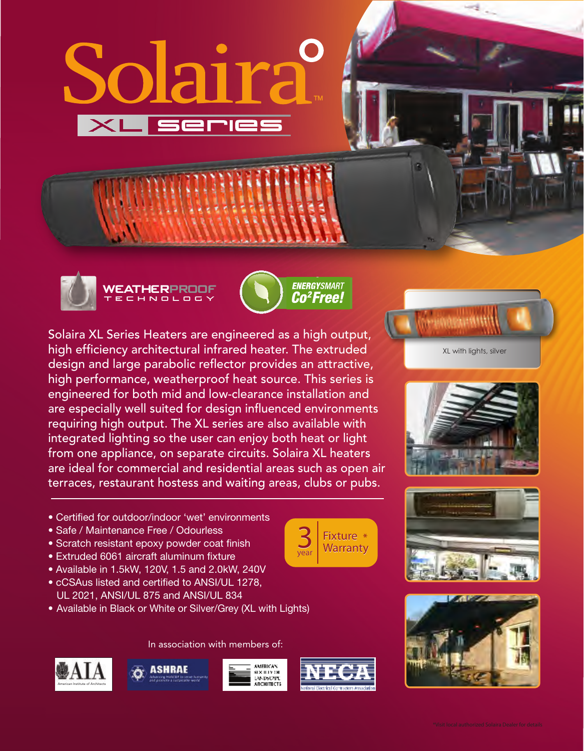







Solaira XL Series Heaters are engineered as a high output, high efficiency architectural infrared heater. The extruded design and large parabolic reflector provides an attractive, high performance, weatherproof heat source. This series is engineered for both mid and low-clearance installation and are especially well suited for design influenced environments requiring high output. The XL series are also available with integrated lighting so the user can enjoy both heat or light from one appliance, on separate circuits. Solaira XL heaters are ideal for commercial and residential areas such as open air terraces, restaurant hostess and waiting areas, clubs or pubs.

- Certified for outdoor/indoor 'wet' environments
- Safe / Maintenance Free / Odourless
- Scratch resistant epoxy powder coat finish
- Extruded 6061 aircraft aluminum fixture
- Available in 1.5kW, 120V, 1.5 and 2.0kW, 240V
- cCSAus listed and certified to ANSI/UL 1278, UL 2021, ANSI/UL 875 and ANSI/UL 834
- Available in Black or White or Silver/Grey (XL with Lights)

In association with members of:









year









Solaira

 $\times$ L